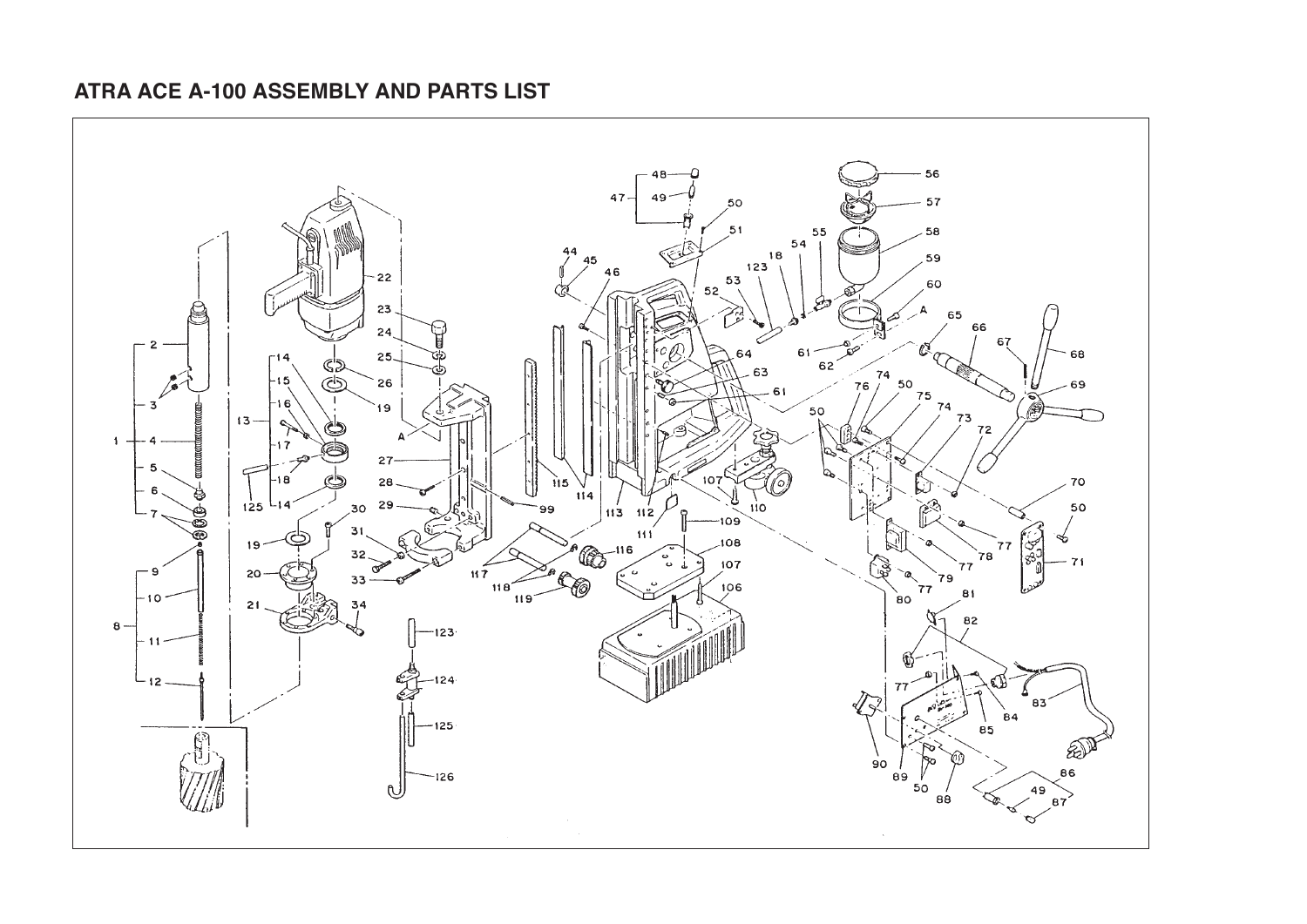## **ATRA ACE A-100 ASSEMBLY AND PARTS LIST**

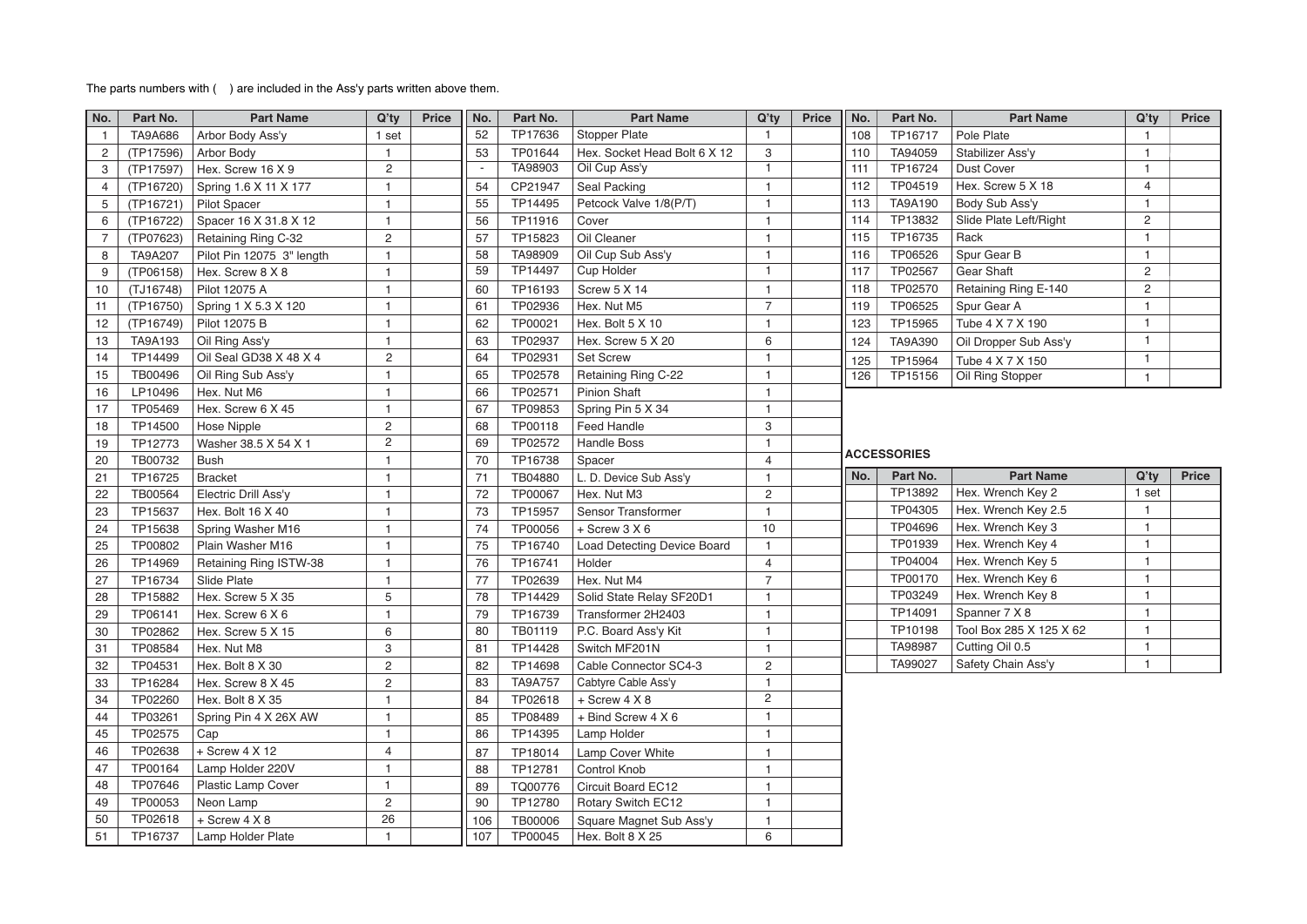## The parts numbers with ( ) are included in the Ass'y parts written above them.

| No.            | Part No.  | <b>Part Name</b>          | Q'ty                    | Price | No.                      | Part No.       | <b>Part Name</b>                   | $Q'$ ty                 | <b>Price</b> | No.                | Part No.       | <b>Part Name</b>        | $Q'$ ty        | <b>Price</b> |
|----------------|-----------|---------------------------|-------------------------|-------|--------------------------|----------------|------------------------------------|-------------------------|--------------|--------------------|----------------|-------------------------|----------------|--------------|
| $\mathbf{1}$   | TA9A686   | Arbor Body Ass'y          | 1 set                   |       | 52                       | TP17636        | <b>Stopper Plate</b>               | $\mathbf{1}$            |              | 108                | TP16717        | Pole Plate              | $\mathbf{1}$   |              |
| 2              | (TP17596) | Arbor Body                | $\mathbf{1}$            |       | 53                       | TP01644        | Hex. Socket Head Bolt 6 X 12       | 3                       |              | 110                | TA94059        | Stabilizer Ass'y        | $\mathbf{1}$   |              |
| 3              | (TP17597) | Hex. Screw 16 X 9         | $\overline{2}$          |       | $\overline{\phantom{a}}$ | TA98903        | Oil Cup Ass'y                      | $\mathbf{1}$            |              | 111                | TP16724        | <b>Dust Cover</b>       | $\mathbf{1}$   |              |
| 4              | (TP16720) | Spring 1.6 X 11 X 177     | $\overline{1}$          |       | 54                       | CP21947        | Seal Packing                       | $\mathbf{1}$            |              | 112                | TP04519        | Hex. Screw 5 X 18       | $\overline{4}$ |              |
| 5              | (TP16721) | <b>Pilot Spacer</b>       | $\mathbf{1}$            |       | 55                       | TP14495        | Petcock Valve 1/8(P/T)             | $\mathbf{1}$            |              | 113                | TA9A190        | Body Sub Ass'y          | $\mathbf{1}$   |              |
| 6              | (TP16722) | Spacer 16 X 31.8 X 12     | $\mathbf{1}$            |       | 56                       | TP11916        | Cover                              | $\mathbf{1}$            |              | 114                | TP13832        | Slide Plate Left/Right  | $\overline{2}$ |              |
| $\overline{7}$ | (TP07623) | Retaining Ring C-32       | $\overline{2}$          |       | 57                       | TP15823        | Oil Cleaner                        | $\mathbf{1}$            |              | 115                | TP16735        | Rack                    | $\mathbf{1}$   |              |
| 8              | TA9A207   | Pilot Pin 12075 3" length | $\mathbf{1}$            |       | 58                       | TA98909        | Oil Cup Sub Ass'y                  | $\mathbf{1}$            |              | 116                | TP06526        | Spur Gear B             | $\mathbf{1}$   |              |
| 9              | (TP06158) | Hex. Screw 8 X 8          | $\mathbf{1}$            |       | 59                       | TP14497        | <b>Cup Holder</b>                  | $\mathbf{1}$            |              | 117                | TP02567        | Gear Shaft              | $\overline{2}$ |              |
| 10             | (TJ16748) | Pilot 12075 A             | $\overline{1}$          |       | 60                       | TP16193        | Screw 5 X 14                       | 1                       |              | 118                | TP02570        | Retaining Ring E-140    | $\mathbf{2}$   |              |
| 11             | (TP16750) | Spring 1 X 5.3 X 120      | $\overline{1}$          |       | 61                       | TP02936        | Hex. Nut M5                        | $\overline{7}$          |              | 119                | TP06525        | Spur Gear A             | $\mathbf{1}$   |              |
| 12             | (TP16749) | Pilot 12075 B             | $\overline{1}$          |       | 62                       | TP00021        | Hex. Bolt 5 X 10                   | $\mathbf{1}$            |              | 123                | TP15965        | Tube 4 X 7 X 190        | $\mathbf{1}$   |              |
| 13             | TA9A193   | Oil Ring Ass'y            | $\mathbf{1}$            |       | 63                       | TP02937        | Hex. Screw 5 X 20                  | 6                       |              | 124                | <b>TA9A390</b> | Oil Dropper Sub Ass'y   | $\mathbf{1}$   |              |
| 14             | TP14499   | Oil Seal GD38 X 48 X 4    | $\overline{2}$          |       | 64                       | TP02931        | <b>Set Screw</b>                   | $\mathbf{1}$            |              | 125                | TP15964        | Tube 4 X 7 X 150        | $\mathbf{1}$   |              |
| 15             | TB00496   | Oil Ring Sub Ass'y        | $\overline{1}$          |       | 65                       | TP02578        | Retaining Ring C-22                | 1                       |              | 126                | TP15156        | Oil Ring Stopper        | $\mathbf{1}$   |              |
| 16             | LP10496   | Hex. Nut M6               | $\overline{1}$          |       | 66                       | TP02571        | <b>Pinion Shaft</b>                | $\mathbf{1}$            |              |                    |                |                         |                |              |
| 17             | TP05469   | Hex. Screw 6 X 45         | $\mathbf{1}$            |       | 67                       | TP09853        | Spring Pin 5 X 34                  | 1                       |              |                    |                |                         |                |              |
| 18             | TP14500   | <b>Hose Nipple</b>        | $\overline{\mathbf{c}}$ |       | 68                       | TP00118        | <b>Feed Handle</b>                 | 3                       |              |                    |                |                         |                |              |
| 19             | TP12773   | Washer 38.5 X 54 X 1      | $\overline{\mathbf{c}}$ |       | 69                       | TP02572        | <b>Handle Boss</b>                 | $\mathbf{1}$            |              |                    |                |                         |                |              |
| 20             | TB00732   | <b>Bush</b>               | $\overline{1}$          |       | 70                       | TP16738        | Spacer                             | $\overline{4}$          |              | <b>ACCESSORIES</b> |                |                         |                |              |
| 21             | TP16725   | <b>Bracket</b>            | $\overline{1}$          |       | 71                       | TB04880        | L. D. Device Sub Ass'y             | $\mathbf{1}$            |              | No.                | Part No.       | <b>Part Name</b>        | $Q'$ ty        | Price        |
| 22             | TB00564   | Electric Drill Ass'y      | $\mathbf{1}$            |       | 72                       | TP00067        | Hex. Nut M3                        | 2                       |              |                    | TP13892        | Hex. Wrench Key 2       | 1 set          |              |
| 23             | TP15637   | Hex. Bolt 16 X 40         | $\overline{1}$          |       | 73                       | TP15957        | Sensor Transformer                 | $\mathbf{1}$            |              |                    | TP04305        | Hex. Wrench Key 2.5     | $\mathbf{1}$   |              |
| 24             | TP15638   | Spring Washer M16         | $\mathbf{1}$            |       | 74                       | TP00056        | $+$ Screw 3 X 6                    | 10                      |              |                    | TP04696        | Hex. Wrench Key 3       |                |              |
| 25             | TP00802   | Plain Washer M16          | $\mathbf{1}$            |       | 75                       | TP16740        | <b>Load Detecting Device Board</b> | $\mathbf{1}$            |              |                    | TP01939        | Hex. Wrench Key 4       | $\mathbf{1}$   |              |
| 26             | TP14969   | Retaining Ring ISTW-38    | $\mathbf{1}$            |       | 76                       | TP16741        | Holder                             | $\overline{4}$          |              |                    | TP04004        | Hex. Wrench Key 5       | $\overline{1}$ |              |
| 27             | TP16734   | Slide Plate               | $\overline{1}$          |       | 77                       | TP02639        | Hex. Nut M4                        | $\overline{7}$          |              |                    | TP00170        | Hex. Wrench Key 6       | $\mathbf{1}$   |              |
| 28             | TP15882   | Hex. Screw 5 X 35         | 5                       |       | 78                       | TP14429        | Solid State Relay SF20D1           | $\mathbf{1}$            |              |                    | TP03249        | Hex. Wrench Key 8       |                |              |
| 29             | TP06141   | Hex. Screw 6 X 6          | $\overline{1}$          |       | 79                       | TP16739        | Transformer 2H2403                 | 1                       |              |                    | TP14091        | Spanner 7 X 8           | -1.            |              |
| 30             | TP02862   | Hex. Screw 5 X 15         | 6                       |       | 80                       | TB01119        | P.C. Board Ass'y Kit               | $\mathbf{1}$            |              |                    | TP10198        | Tool Box 285 X 125 X 62 | $\mathbf{1}$   |              |
| 31             | TP08584   | Hex. Nut M8               | 3                       |       | 81                       | TP14428        | Switch MF201N                      | $\mathbf{1}$            |              |                    | TA98987        | Cutting Oil 0.5         | $\mathbf{1}$   |              |
| 32             | TP04531   | Hex. Bolt 8 X 30          | $\overline{c}$          |       | 82                       | TP14698        | Cable Connector SC4-3              | $\overline{2}$          |              |                    | TA99027        | Safety Chain Ass'y      | $\mathbf{1}$   |              |
| 33             | TP16284   | Hex. Screw 8 X 45         | $\overline{\mathbf{c}}$ |       | 83                       | <b>TA9A757</b> | Cabtyre Cable Ass'y                | $\mathbf{1}$            |              |                    |                |                         |                |              |
| 34             | TP02260   | Hex. Bolt 8 X 35          | $\mathbf{1}$            |       | 84                       | TP02618        | $+$ Screw 4 $X$ 8                  | $\overline{\mathbf{c}}$ |              |                    |                |                         |                |              |
| 44             | TP03261   | Spring Pin 4 X 26X AW     | $\mathbf{1}$            |       | 85                       | TP08489        | + Bind Screw 4 X 6                 | $\mathbf{1}$            |              |                    |                |                         |                |              |
| 45             | TP02575   | Cap                       | $\mathbf{1}$            |       | 86                       | TP14395        | Lamp Holder                        | $\mathbf{1}$            |              |                    |                |                         |                |              |
| 46             | TP02638   | + Screw 4 X 12            | 4                       |       | 87                       | TP18014        | Lamp Cover White                   | 1                       |              |                    |                |                         |                |              |
| 47             | TP00164   | Lamp Holder 220V          | $\overline{1}$          |       | 88                       | TP12781        | <b>Control Knob</b>                | $\mathbf{1}$            |              |                    |                |                         |                |              |
| 48             | TP07646   | Plastic Lamp Cover        | $\mathbf{1}$            |       | 89                       | TQ00776        | Circuit Board EC12                 | $\mathbf{1}$            |              |                    |                |                         |                |              |
| 49             | TP00053   | Neon Lamp                 | $\overline{\mathbf{c}}$ |       | 90                       | TP12780        | Rotary Switch EC12                 | $\mathbf{1}$            |              |                    |                |                         |                |              |
| 50             | TP02618   | + Screw 4 X 8             | 26                      |       | 106                      | <b>TB00006</b> | Square Magnet Sub Ass'y            | $\mathbf{1}$            |              |                    |                |                         |                |              |
| 51             | TP16737   | Lamp Holder Plate         | $\mathbf{1}$            |       | 107                      | TP00045        | Hex. Bolt 8 X 25                   | 6                       |              |                    |                |                         |                |              |